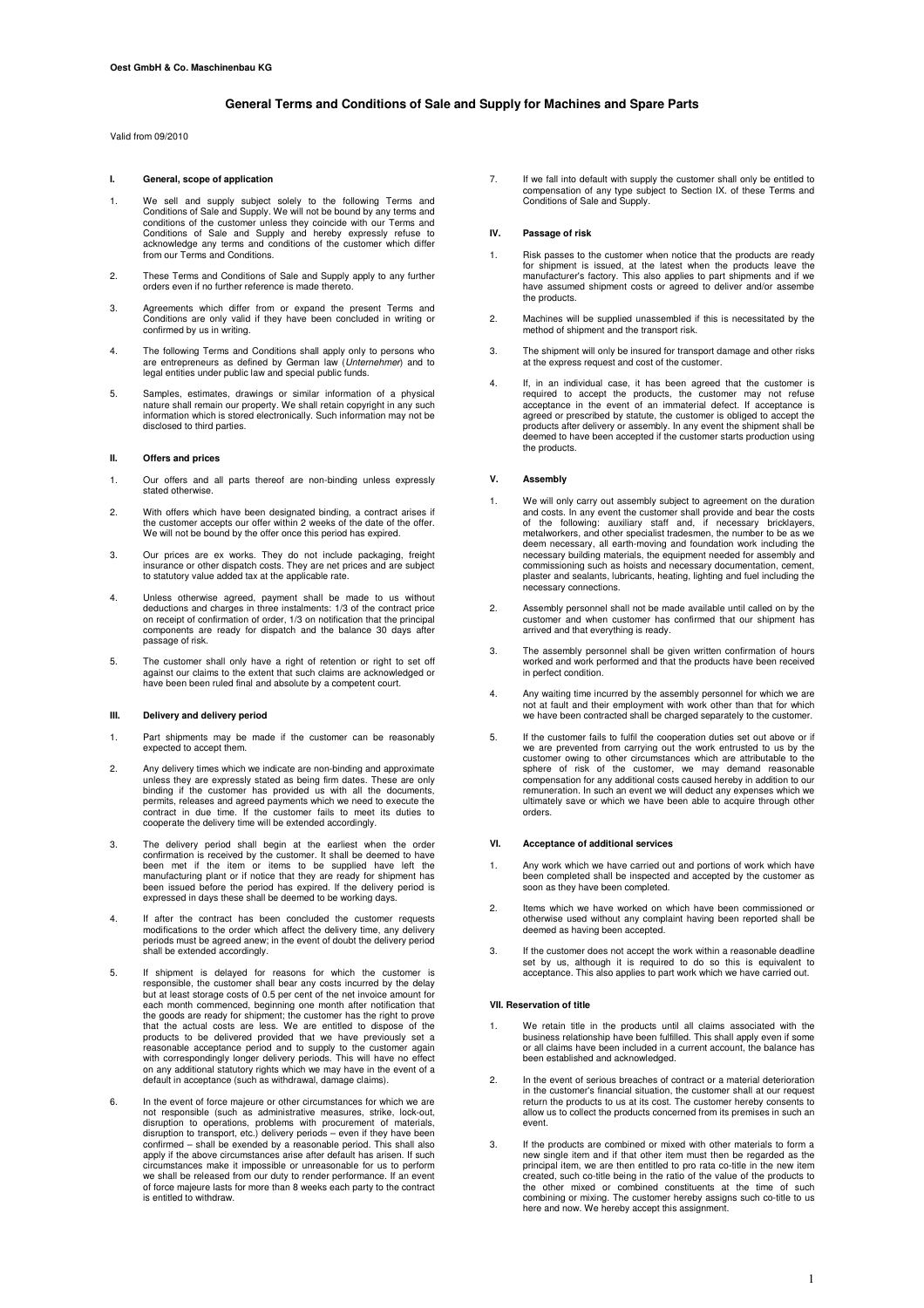# **General Terms and Conditions of Sale and Supply for Machines and Spare Parts**

Valid from 09/2010

# **I. General, scope of application**

- 1. We sell and supply subject solely to the following Terms and Conditions of Sale and Supply. We will not be bound by any terms and conditions of the customer unless they coincide with our Terms and Conditions of Sale and from our Terms and Conditions.
- 2. These Terms and Conditions of Sale and Supply apply to any further orders even if no further reference is made thereto.
- 3. Agreements which differ from or expand the present Terms and Conditions are only valid if they have been concluded in writing or confirmed by us in writing.
- 4. The following Terms and Conditions shall apply only to persons who are entrepreneurs as defined by German law (Unternehmer) and to legal entities under public law and special public funds.
- 5. Samples, estimates, drawings or similar information of a physical nature shall remain our property. We shall retain copyright in any such information which is stored electronically. Such information may not be disclosed to third parties.

## **II. Offers and prices**

- 1. Our offers and all parts thereof are non-binding unless expressly stated otherwise.
- 2. With offers which have been designated binding, a contract arises if the customer accepts our offer within 2 weeks of the date of the offer. We will not be bound by the offer once this period has expired.
- 3. Our prices are ex works. They do not include packaging, freight insurance or other dispatch costs. They are net prices and are subject to statutory value added tax at the applicable rate.
- 4. Unless otherwise agreed, payment shall be made to us without deductions and charges in three instalments: 1/3 of the contract price on receipt of confirmation of order, 1/3 on notification that the principal components are ready for dispatch and the balance 30 days after passage of risk.
- 5. The customer shall only have a right of retention or right to set off against our claims to the extent that such claims are acknowledged or have been been ruled final and absolute by a competent court.

### **III. Delivery and delivery period**

- 1. Part shipments may be made if the customer can be reasonably expected to accept them.
- 2. Any delivery times which we indicate are non-binding and approximate unless they are expressly stated as being firm dates. These are only binding if the customer has provided us with all the documents permits, releases and agreed payments which we need to execute the contract in due time. If the customer fails to meet its duties to cooperate the delivery time will be extended accordingly.
- 3. The delivery period shall begin at the earliest when the order confirmation is received by the customer. It shall be deemed to have been met if the item or items to be supplied have left the manufacturing plant or if notice that they are ready for shipment has been issued before the period has expired. If the delivery period is expressed in days these shall be deemed to be working days.
- 4. If after the contract has been concluded the customer requests modifications to the order which affect the delivery time, any delivery periods must be agreed anew; in the event of doubt the delivery period shall be extended accordingly.
- 5. If shipment is delayed for reasons for which the customer is responsible, the customer shall bear any costs incurred by the delay but at least storage costs of 0.5 per cent of the net invoice amount for each month commenced, beginning one month after notification that<br>the goods are ready for shipment; the customer has the right to prove<br>that the actual costs are less. We are entitled to dispose of the<br>products to be deliv reasonable acceptance period and to supply to the customer again<br>with correspondingly longer delivery periods. This will have no effect<br>on any additional statutory rights which we may have in the event of a<br>default in acce
- 6. In the event of force majeure or other circumstances for which we are<br>not responsible (such as administrative measures, strike, lock-out,<br>disruption to operations, problems with procurement of materials,<br>disruption to t circumstances make it impossible or unreasonable for us to perform we shall be released from our duty to render performance. If an event of force majeure lasts for more than 8 weeks each party to the contract is entitled to withdraw.

7. If we fall into default with supply the customer shall only be entitled to compensation of any type subject to Section IX. of these Terms and Conditions of Sale and Supply.

### **IV. Passage of risk**

- 1. Risk passes to the customer when notice that the products are ready for shipment is issued, at the latest when the products leave the manufacturer's factory. This also applies to part shipments and if we have assumed shipment costs or agreed to deliver and/or assembe the products.
- 2. Machines will be supplied unassembled if this is necessitated by the method of shipment and the transport risk.
- 3. The shipment will only be insured for transport damage and other risks at the express request and cost of the customer.
- 4. If, in an individual case, it has been agreed that the customer is required to accept the products, the customer may not refuse acceptance in the event of an immaterial defect. If acceptance is agreed or prescribed by statute, the customer is obliged to accept the<br>products after delivery or assembly. In any event the shipment shall be<br>deemed to have been accepted if the customer starts production using the products.

## **V. Assembly**

- We will only carry out assembly subject to agreement on the duration and costs. In any event the customer shall provide and bear the costs of the following: auxiliary staff and, if necessary bricklayers, metalworkers, and other specialist tradesmen, the number to be as we deem necessary, all earth-moving and foundation work including the necessary building materials, the equipment needed for assembly and commissioning such as hoists and necessary documentation, cement, plaster and sealants, lubricants, heating, lighting and fuel including the necessary connections.
- 2. Assembly personnel shall not be made available until called on by the customer and when customer has confirmed that our shipment has arrived and that everything is ready.
- 3. The assembly personnel shall be given written confirmation of hours worked and work performed and that the products have been received in perfect condition.
- 4. Any waiting time incurred by the assembly personnel for which we are not at fault and their employment with work other than that for which we have been contracted shall be charged separately to the customer.
- 5. If the customer fails to fulfil the cooperation duties set out above or if we are prevented from carrying out the work entrusted to us by the customer owing to other circumstances which are attributable to the sphere of risk of the customer, we may demand reasonable compensation for any additional costs caused hereby in addition to our remuneration. In such an event we will deduct any expenses which we ultimately save or which we have been able to acquire through other orders.

#### **VI. Acceptance of additional services**

- 1. Any work which we have carried out and portions of work which have been completed shall be inspected and accepted by the customer as soon as they have been completed.
- 2. Items which we have worked on which have been commissioned or otherwise used without any complaint having been reported shall be deemed as having been accepted.
- 3. If the customer does not accept the work within a reasonable deadline set by us, although it is required to do so this is equivalent to acceptance. This also applies to part work which we have carried out.

#### **VII. Reservation of title**

- 1. We retain title in the products until all claims associated with the business relationship have been fulfilled. This shall apply even if some or all claims have been included in a current account, the balance has been established and acknowledged.
- 2. In the event of serious breaches of contract or a material deterioration in the customer's financial situation, the customer shall at our request return the products to us at its cost. The customer hereby consents to allow us to collect the products concerned from its premises in such an event.
- 3. If the products are combined or mixed with other materials to form a new single item and if that other item must then be regarded as the principal item, we are then entitled to pro rata co-title in the new item created, such co-title being in the ratio of the value of the products to<br>the other mixed or combined constituents at the time of such<br>combining or mixing. The customer hereby assigns such co-title to us here and now. We hereby accept this assignment.